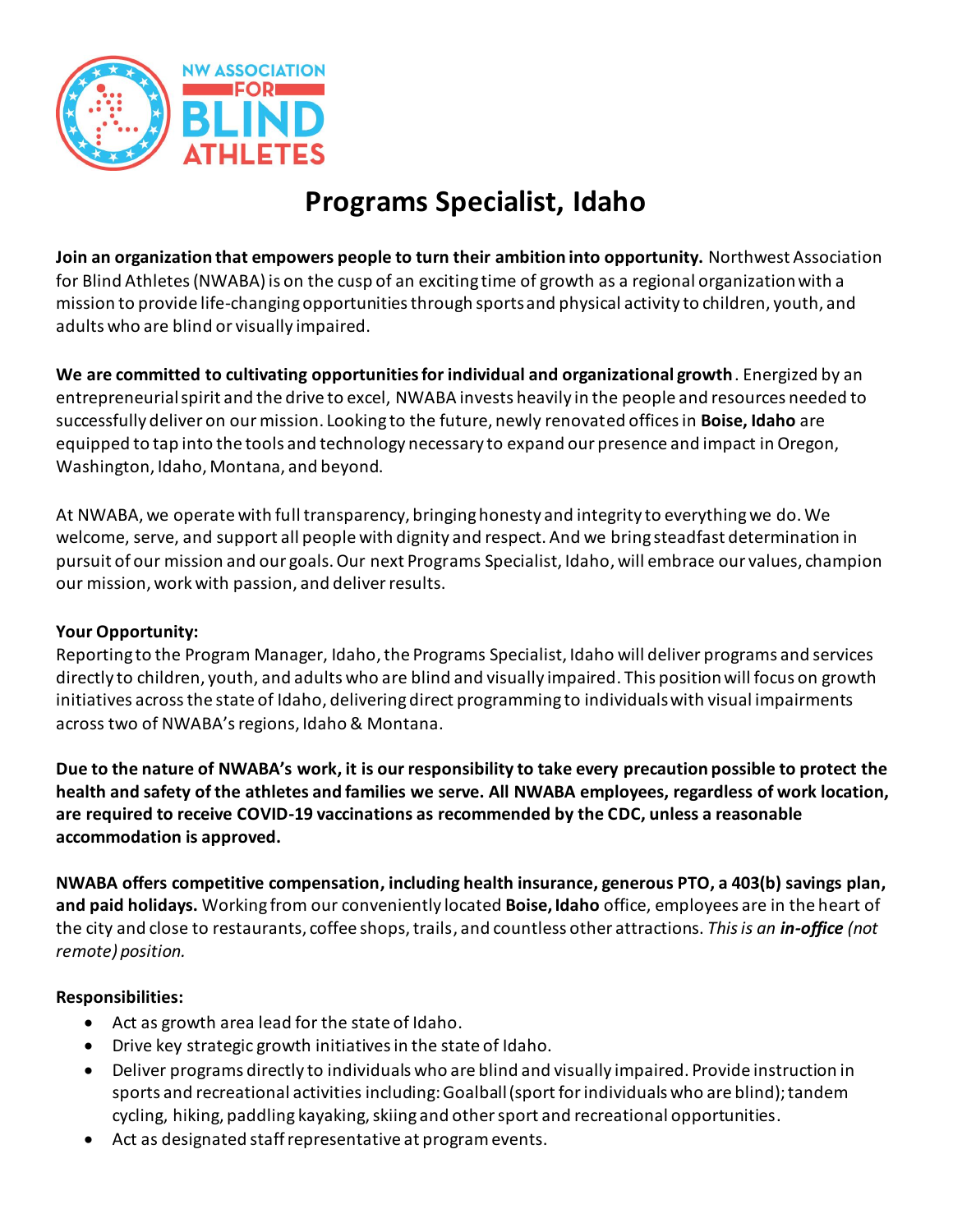

# **Programs Specialist, Idaho**

**Join an organization that empowers people to turn their ambition into opportunity.** Northwest Association for Blind Athletes (NWABA) is on the cusp of an exciting time of growth as a regional organization with a mission to provide life-changing opportunities through sports and physical activity to children, youth, and adults who are blind or visually impaired.

**We are committed to cultivating opportunities for individual and organizational growth**. Energized by an entrepreneurial spirit and the drive to excel, NWABA invests heavily in the people and resources needed to successfully deliver on our mission. Looking to the future, newly renovated offices in **Boise, Idaho** are equipped to tap into the tools and technology necessary to expand our presence and impact in Oregon, Washington, Idaho, Montana, and beyond.

At NWABA, we operate with full transparency, bringing honesty and integrity to everything we do. We welcome, serve, and support all people with dignity and respect. And we bring steadfast determination in pursuit of our mission and our goals. Our next Programs Specialist, Idaho, will embrace our values, champion our mission, work with passion, and deliver results.

## **Your Opportunity:**

Reporting to the Program Manager, Idaho, the Programs Specialist, Idaho will deliver programs and services directly to children, youth, and adults who are blind and visually impaired. This position will focus on growth initiatives acrossthe state of Idaho, delivering direct programming to individuals with visual impairments across two of NWABA's regions, Idaho & Montana.

**Due to the nature of NWABA's work, it is our responsibility to take every precaution possible to protect the health and safety of the athletes and families we serve. All NWABA employees, regardless of work location, are required to receive COVID-19 vaccinations as recommended by the CDC, unless a reasonable accommodation is approved.**

**NWABA offers competitive compensation, including health insurance, generous PTO, a 403(b) savings plan, and paid holidays.** Working from our conveniently located **Boise, Idaho** office, employees are in the heart of the city and close to restaurants, coffee shops, trails, and countless other attractions. *This is an in-office (not remote) position.*

## **Responsibilities:**

- Act as growth area lead for the state of Idaho.
- Drive key strategic growth initiatives in the state of Idaho.
- Deliver programs directly to individuals who are blind and visually impaired. Provide instruction in sports and recreational activities including: Goalball (sport for individuals who are blind); tandem cycling, hiking, paddling kayaking, skiing and other sport and recreational opportunities.
- Act as designated staff representative at program events.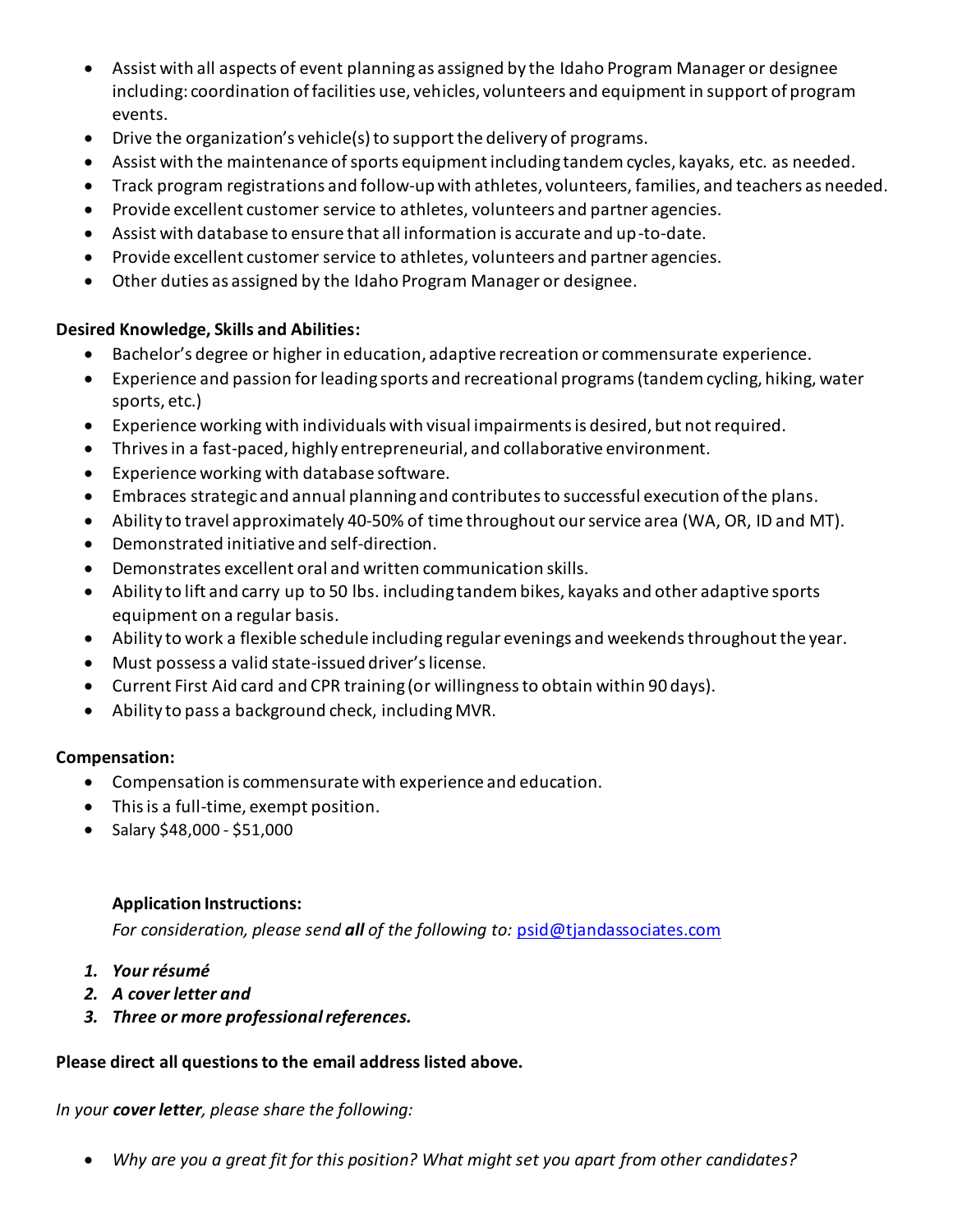- Assist with all aspects of event planning as assigned by the Idaho Program Manager or designee including: coordination of facilities use, vehicles, volunteers and equipment in support of program events.
- Drive the organization's vehicle(s) to support the delivery of programs.
- Assist with the maintenance of sports equipment including tandem cycles, kayaks, etc. as needed.
- Track program registrations and follow-up with athletes, volunteers, families, and teachers as needed.
- Provide excellent customer service to athletes, volunteers and partner agencies.
- Assist with database to ensure that all information is accurate and up-to-date.
- Provide excellent customer service to athletes, volunteers and partner agencies.
- Other duties as assigned by the Idaho Program Manager or designee.

## **Desired Knowledge, Skills and Abilities:**

- Bachelor's degree or higher in education, adaptive recreation or commensurate experience.
- Experience and passion forleading sports and recreational programs (tandem cycling, hiking, water sports, etc.)
- Experience working with individuals with visual impairments is desired, but not required.
- Thrives in a fast-paced, highly entrepreneurial, and collaborative environment.
- Experience working with database software.
- Embraces strategic and annual planning and contributesto successful execution of the plans.
- Ability to travel approximately 40-50% of time throughout our service area (WA, OR, ID and MT).
- Demonstrated initiative and self-direction.
- Demonstrates excellent oral and written communication skills.
- Ability to lift and carry up to 50 lbs. including tandem bikes, kayaks and other adaptive sports equipment on a regular basis.
- Ability to work a flexible schedule including regular evenings and weekends throughout the year.
- Must possess a valid state-issued driver's license.
- Current First Aid card and CPR training (or willingness to obtain within 90 days).
- Ability to pass a background check, including MVR.

## **Compensation:**

- Compensation is commensurate with experience and education.
- This is a full-time, exempt position.
- Salary \$48,000 \$51,000

## **Application Instructions:**

*For consideration, please send all of the following to:* [psid@tjandassociates.com](mailto:psid@tjandassociates.com)

- *1. Your résumé*
- *2. A cover letter and*
- *3. Three or more professional references.*

## **Please direct all questions to the email address listed above.**

*In your cover letter, please share the following:* 

*Why are you a great fit for this position? What might set you apart from other candidates?*